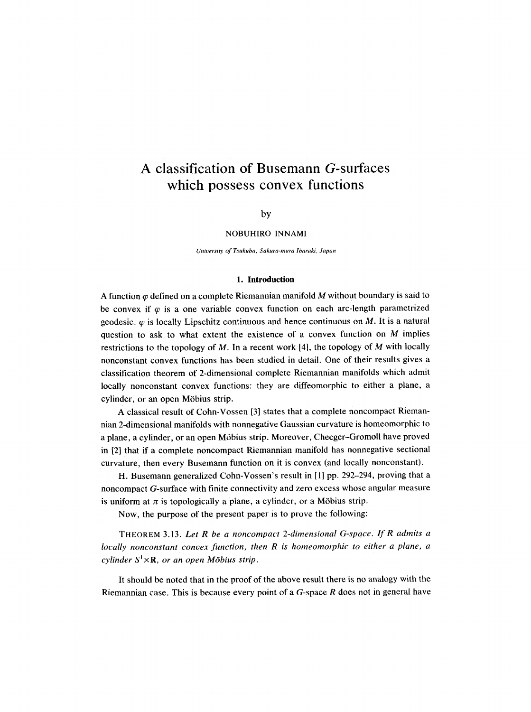# **A classification of Busemann G-surfaces which possess convex functions**

## by

## NOBUHIRO INNAMI

*University of Tsukuba, Sakura-mura Ibaraki, Japan* 

#### **1. Introduction**

A function  $\varphi$  defined on a complete Riemannian manifold M without boundary is said to be convex if  $\varphi$  is a one variable convex function on each arc-length parametrized geodesic.  $\varphi$  is locally Lipschitz continuous and hence continuous on M. It is a natural question to ask to what extent the existence of a convex function on  $M$  implies restrictions to the topology of M. In a recent work [4], the topology of M with locally nonconstant convex functions has been studied in detail. One of their results gives a classification theorem of 2-dimensional complete Riemannian manifolds which admit locally nonconstant convex functions: they are diffeomorphic to either a plane, a cylinder, or an open Möbius strip.

A classical result of Cohn-Vossen [3] states that a complete noncompact Riemannian 2-dimensional manifolds with nonnegative Gaussian curvature is homeomorphic to a plane, a cylinder, or an open M6bius strip. Moreover, Cheeger-Gromoll have proved in [2] that if a complete noncompact Riemannian manifold has nonnegative sectional curvature, then every Busemann function on it is convex (and locally nonconstant).

H. Busemann generalized Cohn-Vossen's result in [1] pp. 292-294, proving that a noncompact G-surface with finite connectivity and zero excess whose angular measure is uniform at  $\pi$  is topologically a plane, a cylinder, or a Möbius strip.

Now, the purpose of the present paper is to prove the following:

THEOREM 3.13. *Let R be a noncompact 2-dimensional G-space. If R admits a locally nonconstant convex function, then R is homeomorphic to either a plane, a cylinder*  $S^1 \times \mathbf{R}$ , *or an open Möbius strip.* 

It should be noted that in the proof of the above result there is no analogy with the Riemannian case. This is because every point of a  $G$ -space  $R$  does not in general have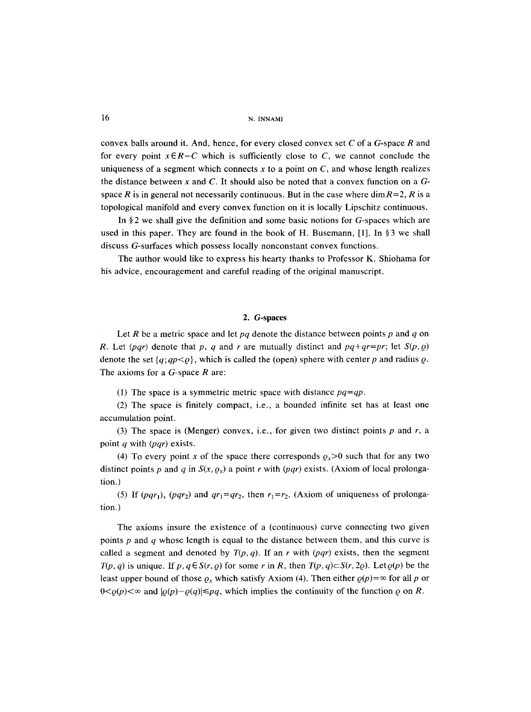convex balls around it. And, hence, for every closed convex set  $C$  of a  $G$ -space  $R$  and for every point  $x \in R-C$  which is sufficiently close to C, we cannot conclude the uniqueness of a segment which connects  $x$  to a point on  $C$ , and whose length realizes the distance between x and C. It should also be noted that a convex function on a **G**space R is in general not necessarily continuous. But in the case where dim  $R=2$ , R is a topological manifold and every convex function on it is locally Lipschitz continuous.

In §2 we shall give the definition and some basic notions for  $G$ -spaces which are used in this paper. They are found in the book of H. Busemann,  $[1]$ . In §3 we shall discuss G-surfaces which possess locally nonconstant convex functions.

The author would like to express his hearty thanks to Professor K, Shiohama for his advice, encouragement and careful reading of the original manuscript.

#### 2. G-spaces

Let R be a metric space and let  $pq$  denote the distance between points  $p$  and  $q$  on R. Let  $(pqr)$  denote that p, q and r are mutually distinct and  $pq+qr=pr$ ; let  $S(p, q)$ denote the set  $\{q; qp<\varrho\}$ , which is called the (open) sphere with center p and radius  $\varrho$ . The axioms for a  $G$ -space  $R$  are:

(1) The space is a symmetric metric space with distance *pq=qp.* 

(2) The space is finitely compact, i.e., a bounded infinite set has at least one accumulation point.

(3) The space is (Menger) convex, i.e., for given two distinct points  $p$  and  $r$ , a point q with *(pqr)* exists.

(4) To every point x of the space there corresponds  $\rho_x > 0$  such that for any two distinct points p and q in  $S(x, \rho_x)$  a point r with  $(pqr)$  exists. (Axiom of local prolongation.)

(5) If  $(pqr_1)$ ,  $(pqr_2)$  and  $qr_1=qr_2$ , then  $r_1=r_2$ . (Axiom of uniqueness of prolongation.)

The axioms insure the existence of a (continuous) curve connecting two given points  $p$  and  $q$  whose length is equal to the distance between them, and this curve is called a segment and denoted by  $T(p, q)$ . If an r with  $(pqr)$  exists, then the segment  $T(p, q)$  is unique. If  $p, q \in S(r, q)$  for some r in R, then  $T(p, q) \subset S(r, 2q)$ . Let  $q(p)$  be the least upper bound of those  $\rho_x$  which satisfy Axiom (4). Then either  $\rho(p) = \infty$  for all p or  $0 < \varrho(p) < \infty$  and  $|\varrho(p)-\varrho(q)| \leq pq$ , which implies the continuity of the function  $\varrho$  on R.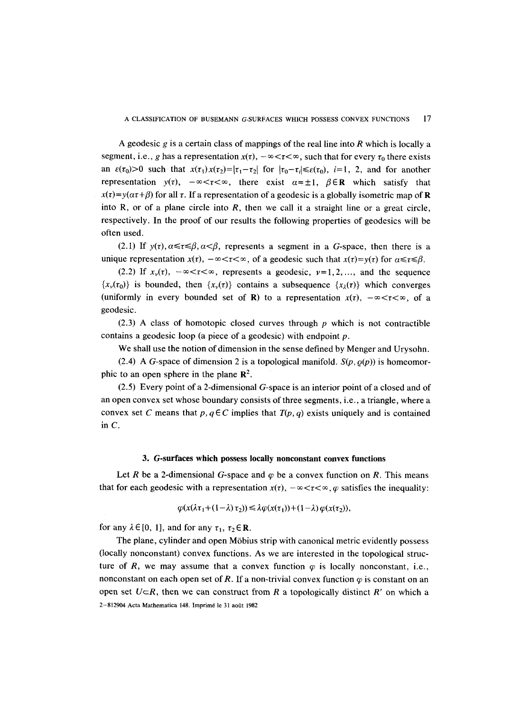A geodesic  $g$  is a certain class of mappings of the real line into  $R$  which is locally a segment, i.e., g has a representation  $x(t)$ ,  $-\infty < t < \infty$ , such that for every  $\tau_0$  there exists an  $\varepsilon(\tau_0) > 0$  such that  $x(\tau_1)x(\tau_2) = |\tau_1 - \tau_2|$  for  $|\tau_0 - \tau_i| \leq \varepsilon(\tau_0)$ , *i*=1, 2, and for another representation  $y(\tau)$ ,  $-\infty < \tau < \infty$ , there exist  $\alpha = \pm 1$ ,  $\beta \in \mathbb{R}$  which satisfy that  $x(\tau)=y(\alpha\tau+\beta)$  for all  $\tau$ . If a representation of a geodesic is a globally isometric map of **R** into R, or of a plane circle into  $R$ , then we call it a straight line or a great circle, respectively. In the proof of our results the following properties of geodesics will be often used.

(2.1) If  $y(\tau)$ ,  $\alpha \leq \tau \leq \beta$ ,  $\alpha < \beta$ , represents a segment in a G-space, then there is a unique representation  $x(t)$ ,  $-\infty < t < \infty$ , of a geodesic such that  $x(t)=y(t)$  for  $a \le t \le \beta$ .

(2.2) If  $x_{\nu}(t)$ ,  $-\infty < \tau < \infty$ , represents a geodesic,  $\nu = 1, 2, \ldots$ , and the sequence  ${x<sub>v</sub>(\tau_0)}$  is bounded, then  ${x<sub>v</sub>(\tau)}$  contains a subsequence  ${x<sub>λ</sub>(\tau)}$  which converges (uniformly in every bounded set of R) to a representation  $x(t)$ ,  $-\infty < t < \infty$ , of a geodesic.

(2.3) A class of homotopic closed curves through  $p$  which is not contractible contains a geodesic loop (a piece of a geodesic) with endpoint  $p$ .

We shall use the notion of dimension in the sense defined by Menger and Urysohn.

(2.4) A G-space of dimension 2 is a topological manifold.  $S(p, \rho(p))$  is homeomorphic to an open sphere in the plane  $\mathbb{R}^2$ .

(2.5) Every point of a 2-dimensional G-space is an interior point of a closed and of an open convex set whose boundary consists of three segments, i.e., a triangle, where a convex set C means that  $p, q \in C$  implies that  $T(p, q)$  exists uniquely and is contained in C.

#### **3. G-surfaces which possess locally nonconstant convex functions**

Let R be a 2-dimensional G-space and  $\varphi$  be a convex function on R. This means that for each geodesic with a representation  $x(t)$ ,  $-\infty < t < \infty$ ,  $\varphi$  satisfies the inequality:

$$
\varphi(x(\lambda \tau_1 + (1 - \lambda) \tau_2)) \leq \lambda \varphi(x(\tau_1)) + (1 - \lambda) \varphi(x(\tau_2)),
$$

for any  $\lambda \in [0, 1]$ , and for any  $\tau_1$ ,  $\tau_2 \in \mathbb{R}$ .

The plane, cylinder and open M6bius strip with canonical metric evidently possess (locally nonconstant) convex functions. As we are interested in the topological structure of R, we may assume that a convex function  $\varphi$  is locally nonconstant, i.e., nonconstant on each open set of R. If a non-trivial convex function  $\varphi$  is constant on an open set  $U \subset R$ , then we can construct from R a topologically distinct R' on which a 2-812904 Acta Mathematica 148. Imprimé le 31 août 1982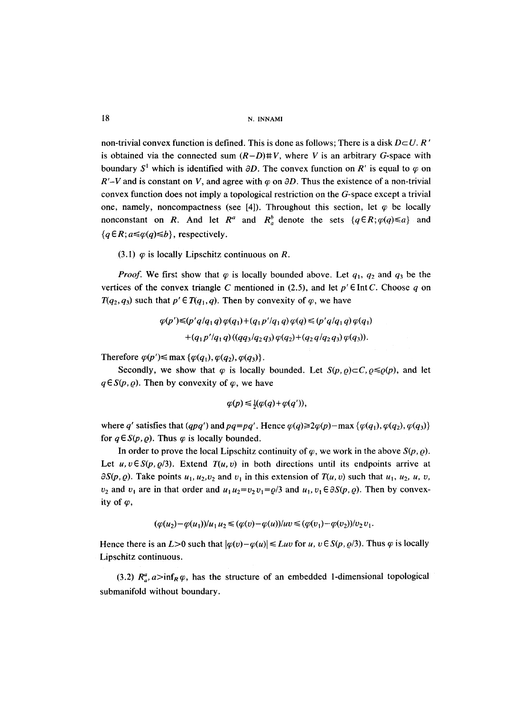non-trivial convex function is defined. This is done as follows; There is a disk  $D\subset U$ . R' is obtained via the connected sum  $(R-D)$ #V, where V is an arbitrary G-space with boundary  $S^1$  which is identified with  $\partial D$ . The convex function on R' is equal to  $\varphi$  on  $R'-V$  and is constant on V, and agree with  $\varphi$  on  $\partial D$ . Thus the existence of a non-trivial convex function does not imply a topological restriction on the G-space except a trivial one, namely, noncompactness (see [4]). Throughout this section, let  $\varphi$  be locally nonconstant on R. And let  $R^a$  and  $R^b$  denote the sets  $\{q \in R; \varphi(q) \leq a\}$  and  ${ q \in R; a \leq \varphi(q) \leq b }$ , respectively.

(3.1)  $\varphi$  is locally Lipschitz continuous on R.

*Proof.* We first show that  $\varphi$  is locally bounded above. Let  $q_1$ ,  $q_2$  and  $q_3$  be the vertices of the convex triangle C mentioned in (2.5), and let  $p' \in \text{Int } C$ . Choose q on  $T(q_2, q_3)$  such that  $p' \in T(q_1, q)$ . Then by convexity of  $\varphi$ , we have

> $\varphi(p') \leq (p' q / q_1 q) \varphi(q_1) + (q_1 p' / q_1 q) \varphi(q) \leq (p' q / q_1 q) \varphi(q_1)$  $+(q_1 p'/q_1 q)((qq_3/q_2 q_3) \varphi(q_2)+(q_2 q/q_2 q_3) \varphi(q_3)).$

Therefore  $\varphi(p') \le \max \{ \varphi(q_1), \varphi(q_2), \varphi(q_3) \}.$ 

Secondly, we show that  $\varphi$  is locally bounded. Let  $S(p,\varrho) \subset C$ ,  $\varrho \leq \varrho(p)$ , and let  $q \in S(p, \varrho)$ . Then by convexity of  $\varphi$ , we have

$$
\varphi(p) \leq \frac{1}{2}(\varphi(q) + \varphi(q')),
$$

where q' satisfies that  $(qpq')$  and  $pq=pq'$ . Hence  $\varphi(q) \geq 2\varphi(p)$ -max  $\{\varphi(q_1), \varphi(q_2), \varphi(q_3)\}$ for  $q \in S(p, \rho)$ . Thus  $\varphi$  is locally bounded.

In order to prove the local Lipschitz continuity of  $\varphi$ , we work in the above  $S(p, \varrho)$ . Let  $u, v \in S(p, \rho/3)$ . Extend  $T(u, v)$  in both directions until its endpoints arrive at  $\partial S(p, \varrho)$ . Take points  $u_1, u_2, v_2$  and  $v_1$  in this extension of  $T(u, v)$  such that  $u_1, u_2, u, v$ ,  $v_2$  and  $v_1$  are in that order and  $u_1 u_2 = v_2 v_1 = \varrho/3$  and  $u_1, v_1 \in \partial S(p, \varrho)$ . Then by convexity of  $\varphi$ ,

$$
(\varphi(u_2) - \varphi(u_1))/u_1 u_2 \leq (\varphi(v) - \varphi(u))/uv \leq (\varphi(v_1) - \varphi(v_2))/v_2 v_1.
$$

Hence there is an  $L>0$  such that  $|\varphi(v)-\varphi(u)| \leq Luv$  for u,  $v \in S(p, \varrho/3)$ . Thus  $\varphi$  is locally Lipschitz continuous.

(3.2)  $R_a^a$ ,  $a > inf_R \varphi$ , has the structure of an embedded 1-dimensional topological submanifold without boundary.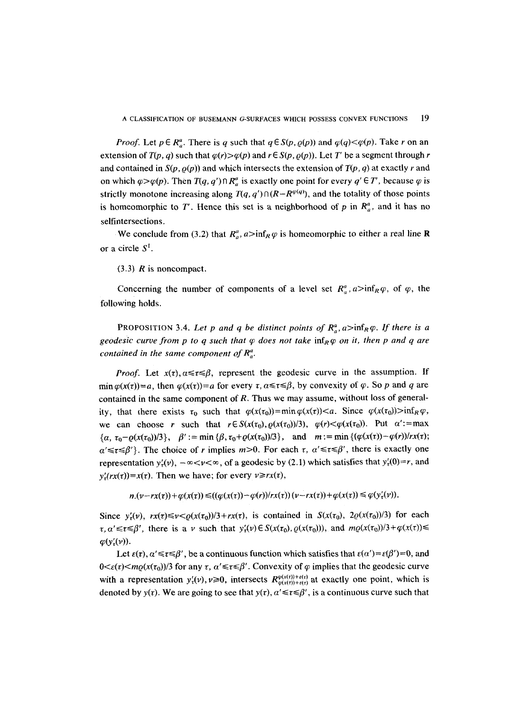*Proof.* Let  $p \in R_a^a$ . There is q such that  $q \in S(p, \varrho(p))$  and  $\varphi(q) < \varphi(p)$ . Take r on an extension of  $T(p, q)$  such that  $\varphi(r) > \varphi(p)$  and  $r \in S(p, \varphi(p))$ . Let T' be a segment through r and contained in  $S(p, \rho(p))$  and which intersects the extension of  $T(p, q)$  at exactly r and on which  $\varphi > \varphi(p)$ . Then  $T(q, q') \cap R^a$  is exactly one point for every  $q' \in T'$ , because  $\varphi$  is strictly monotone increasing along  $T(q, q') \cap (R - R^{\varphi(q)})$ , and the totality of those points is homeomorphic to T'. Hence this set is a neighborhood of p in  $R_a^a$ , and it has no selfintersections.

We conclude from (3.2) that  $R_a^a$ ,  $a > inf_R \varphi$  is homeomorphic to either a real line **R** or a circle  $S<sup>1</sup>$ .

 $(3.3)$  R is noncompact.

Concerning the number of components of a level set  $R_a^a$ ,  $a > inf_R \varphi$ , of  $\varphi$ , the following holds.

PROPOSITION 3.4. Let p and q be distinct points of  $R_a^a$ ,  $a > inf_R \varphi$ . If there is a *geodesic curve from p to q such that*  $\varphi$  *does not take* inf $_R \varphi$  *on it, then p and q are contained in the same component of*  $R_a^a$ .

*Proof.* Let  $x(t)$ ,  $\alpha \leq \tau \leq \beta$ , represent the geodesic curve in the assumption. If min  $\varphi(x(\tau))=a$ , then  $\varphi(x(\tau))=a$  for every  $\tau, \alpha \leq \tau \leq \beta$ , by convexity of  $\varphi$ . So p and q are contained in the same component of  $R$ . Thus we may assume, without loss of generality, that there exists  $\tau_0$  such that  $\varphi(x(\tau_0))=\min \varphi(x(\tau))<\alpha$ . Since  $\varphi(x(\tau_0))>\inf_R\varphi$ , we can choose r such that  $r \in S(x(\tau_0), \rho(x(\tau_0))/3)$ ,  $\varphi(r) < \varphi(x(\tau_0))$ . Put  $\alpha' := \max$  ${\alpha, \tau_0 - \varrho(x(\tau_0))/3}, \quad \beta' := \min{\{\beta, \tau_0 + \varrho(x(\tau_0))/3\}}, \quad \text{and} \quad m := \min{\{\varphi(x(\tau)) - \varphi(r)\}}/r x(\tau);$  $\alpha' \leq \tau \leq \beta'$ . The choice of r implies  $m>0$ . For each  $\tau$ ,  $\alpha' \leq \tau \leq \beta'$ , there is exactly one representation  $y'_t(v)$ ,  $-\infty < v < \infty$ , of a geodesic by (2.1) which satisfies that  $y'_t(0) = r$ , and  $y'_r(rx(\tau)) = x(\tau)$ . Then we have; for every  $v \ge r x(\tau)$ ,

 $n.(v-rx(\tau)) + \varphi(x(\tau)) \leq ((\varphi(x(\tau)) - \varphi(r))/rx(\tau))(v-rx(\tau)) + \varphi(x(\tau)) \leq \varphi(y'_{\tau}(v)).$ 

Since  $y'_t(v)$ ,  $rx(\tau) \le v < \rho(x(\tau_0))/3 + rx(\tau)$ , is contained in  $S(x(\tau_0), 2\rho(x(\tau_0))/3)$  for each  $r, \alpha' \leq t \leq \beta'$ , there is a v such that  $y'_t(v) \in S(x(\tau_0), \varrho(x(\tau_0)))$ , and  $m\varrho(x(\tau_0))/3+\varphi(x(\tau)) \leq$  $\varphi(y'_{\tau}(v)).$ 

Let  $\varepsilon(\tau), \alpha' \leq \tau \leq \beta'$ , be a continuous function which satisfies that  $\varepsilon(\alpha') = \varepsilon(\beta') = 0$ , and  $0 \leq \epsilon(\tau) \leq m\rho(x(\tau_0))/3$  for any  $\tau$ ,  $\alpha' \leq \tau \leq \beta'$ . Convexity of  $\varphi$  implies that the geodesic curve with a representation  $y'_\tau(v)$ ,  $v \ge 0$ , intersects  $R_{\varphi(x(\tau)) + \varepsilon(\tau)}^{\varphi(x(\tau)) + \varepsilon(\tau)}$  at exactly one point, which is denoted by  $y(\tau)$ . We are going to see that  $y(\tau)$ ,  $a' \leq \tau \leq \beta'$ , is a continuous curve such that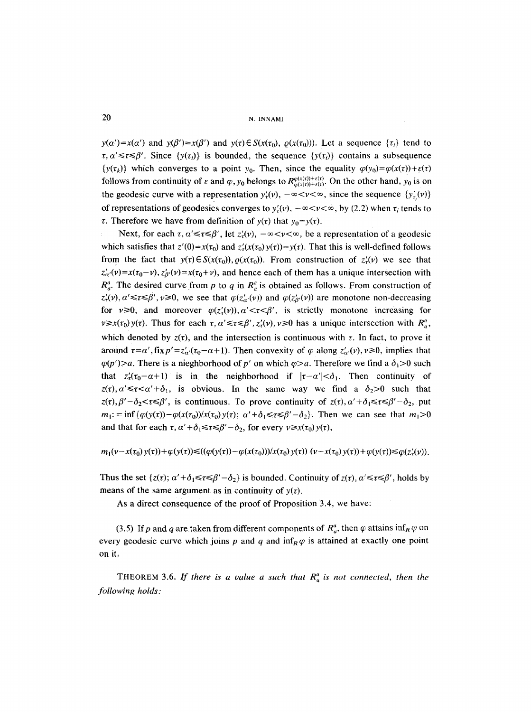$y(\alpha')=x(\alpha')$  and  $y(\beta')=x(\beta')$  and  $y(\tau)\in S(x(\tau_0), \varrho(x(\tau_0)))$ . Let a sequence  $\{\tau_i\}$  tend to  $\tau$ ,  $\alpha' \leq \tau \leq \beta'$ . Since  $\{y(\tau_i)\}\)$  is bounded, the sequence  $\{y(\tau_i)\}\)$  contains a subsequence  $\{y(\tau_k)\}\$  which converges to a point  $y_0$ . Then, since the equality  $\varphi(y_0) = \varphi(x(\tau)) + \varepsilon(\tau)$ follows from continuity of  $\varepsilon$  and  $\varphi$ ,  $y_0$  belongs to  $R^{\varphi(x(\tau)) + \varepsilon(\tau)}_{\varphi(x(\tau)) + \varepsilon(\tau)}$ . On the other hand,  $y_0$  is on the geodesic curve with a representation  $y'_t(v)$ ,  $-\infty < v < \infty$ , since the sequence  $\{y'_t(v)\}$ of representations of geodesics converges to  $y'_i(v)$ ,  $-\infty < v < \infty$ , by (2.2) when  $\tau_i$  tends to  $\tau$ . Therefore we have from definition of  $y(\tau)$  that  $y_0 = y(\tau)$ .

Next, for each  $\tau$ ,  $\alpha' \leq \tau \leq \beta'$ , let  $z'_\tau(v)$ ,  $-\infty < v < \infty$ , be a representation of a geodesic which satisfies that  $z'(0)=x(\tau_0)$  and  $z'_t(x(\tau_0)y(\tau))=y(\tau)$ . That this is well-defined follows from the fact that  $y(\tau) \in S(x(\tau_0)), \rho(x(\tau_0))$ . From construction of  $z'_\tau(\nu)$  we see that  $z'_{\alpha'}(v)=x(\tau_0-v), z'_{\beta'}(v)=x(\tau_0+v)$ , and hence each of them has a unique intersection with  $R_a^a$ . The desired curve from p to q in  $R_a^a$  is obtained as follows. From construction of  $z'_i(v), \alpha' \leq \tau \leq \beta', \nu \geq 0$ , we see that  $\varphi(z'_{\alpha}(v))$  and  $\varphi(z'_{\beta}(v))$  are monotone non-decreasing for  $v \ge 0$ , and moreover  $\varphi(z_r(v))$ ,  $\alpha' < r < \beta'$ , is strictly monotone increasing for  $v \geq x(\tau_0) y(\tau)$ . Thus for each  $\tau, \alpha' \leq \tau \leq \beta', z'_{\tau}(\nu), \nu \geq 0$  has a unique intersection with  $R_a^a$ , which denoted by  $z(\tau)$ , and the intersection is continuous with  $\tau$ . In fact, to prove it around  $\tau = \alpha'$ , fix  $p' = z_{\alpha'}(\tau_0 - \alpha + 1)$ . Then convexity of  $\varphi$  along  $z_{\alpha'}(v)$ ,  $v \ge 0$ , implies that  $\varphi(p')\geq a$ . There is a nieghborhood of p' on which  $\varphi\geq a$ . Therefore we find a  $\delta_1>0$  such that  $z'_r(\tau_0-\alpha+1)$  is in the neighborhood if  $|\tau-\alpha'|<\delta_1$ . Then continuity of  $z(\tau)$ ,  $\alpha' \le \tau \le \alpha' + \delta_1$ , is obvious. In the same way we find a  $\delta_2 > 0$  such that  $z(t), \beta' - \delta_2 < \tau \leq \beta'$ , is continuous. To prove continuity of  $z(t), \alpha' + \delta_1 \leq \tau \leq \beta' - \delta_2$ , put  $m_1$ : =inf $\{\varphi(y(\tau))-\varphi(x(\tau_0))/x(\tau_0)y(\tau); \alpha'+\delta_1\leq \tau\leq \beta'-\delta_2\}$ . Then we can see that  $m_1>0$ and that for each  $\tau$ ,  $\alpha' + \delta_1 \leq \tau \leq \beta' - \delta_2$ , for every  $\nu \geq x(\tau_0)y(\tau)$ ,

 $m_1(\nu-x(\tau_0)y(\tau))+\varphi(y(\tau))\leq ((\varphi(y(\tau))-\varphi(x(\tau_0)))/x(\tau_0)y(\tau)) (v-x(\tau_0)y(\tau))+\varphi(y(\tau))\leq \varphi(z'_\tau(\nu)).$ 

Thus the set  $\{z(\tau); \alpha' + \delta_1 \leq \tau \leq \beta' - \delta_2\}$  is bounded. Continuity of  $z(\tau), \alpha' \leq \tau \leq \beta'$ , holds by means of the same argument as in continuity of  $y(\tau)$ .

As a direct consequence of the proof of Proposition 3.4, we have:

(3.5) If p and q are taken from different components of  $R_q^a$ , then  $\varphi$  attains inf<sub>R</sub>  $\varphi$  on every geodesic curve which joins p and q and inf<sub>R</sub> $\varphi$  is attained at exactly one point on it,

THEOREM 3.6. If there is a value a such that  $R_a^a$  is not connected, then the *following holds:*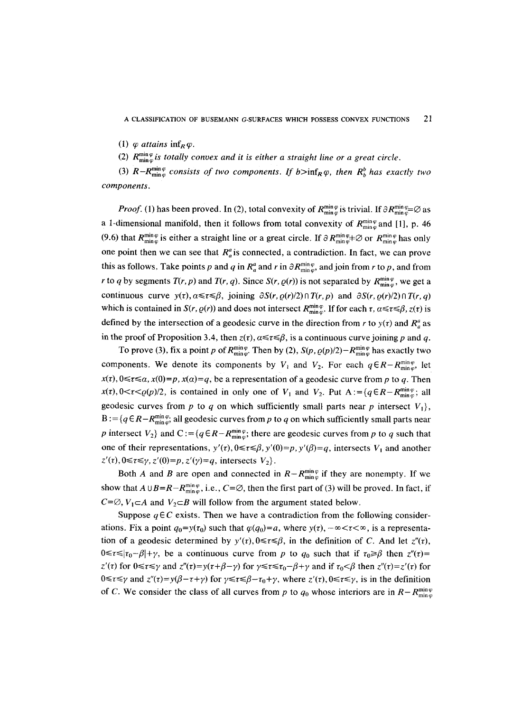A CLASSIFICATION OF BUSEMANN G-SURFACES WHICH POSSESS CONVEX FUNCTIONS 21

(1)  $\varphi$  *attains*  $\inf_R \varphi$ .

(2)  $R_{\min\{\omega\}}^{\min\{\omega\}}$  *is totally convex and it is either a straight line or a great circle.* 

(3)  $R - R_{\min\varphi}^{\min\varphi}$  consists of two components. If  $b > \inf_R \varphi$ , then  $R_b^b$  has exactly two *components.* 

*Proof.* (1) has been proved. In (2), total convexity of  $R_{\min\varphi}^{\min\varphi}$  is trivial. If  $\partial R_{\min\varphi}^{\min\varphi} \varnothing$  as a 1-dimensional manifold, then it follows from total convexity of  $R_{\min}^{\min\varphi}$  and [1], p. 46 (9.6) that  $R_{\min\varphi}^{\min\varphi}$  is either a straight line or a great circle. If  $\partial R_{\min\varphi}^{\min\varphi}$  or  $R_{\min\varphi}^{\min\varphi}$  has only one point then we can see that  $R_a^a$  is connected, a contradiction. In fact, we can prove this as follows. Take points p and q in  $R_a^a$  and r in  $\partial R_{\text{min\ } \varphi}^{\text{min\ }\varphi}$ , and join from r to p, and from *r* to *q* by segments *T*(*r*, *p*) and *T*(*r*, *q*). Since *S*(*r*, *q*(*r*)) is not separated by  $R_{\min\varphi}^{\min\varphi}$ , we get a continuous curve  $y(\tau)$ ,  $\alpha \leq \tau \leq \beta$ , joining  $\partial S(r, \varrho(r)/2) \cap T(r, p)$  and  $\partial S(r, \varrho(r)/2) \cap T(r, q)$ which is contained in *S(r,*  $\rho(r)$ *)* and does not intersect  $R_{\min\varphi}^{\min\varphi}$ . If for each  $\tau$ ,  $\alpha \leq \tau \leq \beta$ ,  $z(\tau)$  is defined by the intersection of a geodesic curve in the direction from r to  $y(\tau)$  and  $R_a^a$  as in the proof of Proposition 3.4, then  $z(t)$ ,  $\alpha \leq \tau \leq \beta$ , is a continuous curve joining p and q.

To prove (3), fix a point p of  $R_{\min\varphi}^{\min\varphi}$ . Then by (2),  $S(p, \varrho(p)/2)-R_{\min\varphi}^{\min\varphi}$  has exactly two components. We denote its components by  $V_1$  and  $V_2$ . For each  $q \in R - R_{\min\varphi}^{\min\varphi}$ , let  $x(\tau)$ ,  $0 \le \tau \le \alpha$ ,  $x(0)=p$ ,  $x(\alpha)=q$ , be a representation of a geodesic curve from p to q. Then  $x(\tau)$ ,  $0 < \tau < \varrho(p)/2$ , is contained in only one of  $V_1$  and  $V_2$ . Put  $A := \{q \in R - R_{\min}^{\min \varphi}; \text{ all } \varphi\}$ geodesic curves from p to q on which sufficiently small parts near p intersect  $V_1$ ,  $B := \{q \in R - R_{\min\varphi}^{\min\varphi}, \text{ all geodesic curves from } p \text{ to } q \text{ on which sufficiently small parts near } \}$ p intersect  $V_2$  and  $C := \{q \in R - R_{\min\varphi}^{\min\varphi}$ ; there are geodesic curves from p to q such that one of their representations,  $y'(r)$ ,  $0 \le r \le \beta$ ,  $y'(0)=p$ ,  $y'(\beta)=q$ , intersects  $V_1$  and another  $z'(\tau)$ ,  $0 \le \tau \le \gamma$ ,  $z'(0)=p$ ,  $z'(\gamma)=q$ , intersects  $V_2$ .

Both A and B are open and connected in  $R - R_{\min\varphi}^{\min\varphi}$  if they are nonempty. If we show that  $A \cup B=R-R_{\min\varphi}^{\min},$  i.e.,  $C=\varnothing$ , then the first part of (3) will be proved. In fact, if  $C=\emptyset, V_1\subset A$  and  $V_2\subset B$  will follow from the argument stated below.

Suppose  $q \in \mathbb{C}$  exists. Then we have a contradiction from the following considerations. Fix a point  $q_0 = y(\tau_0)$  such that  $\varphi(q_0) = a$ , where  $y(\tau)$ ,  $-\infty < \tau < \infty$ , is a representation of a geodesic determined by  $y'(t)$ ,  $0 \le t \le \beta$ , in the definition of C. And let  $z''(t)$ ,  $0 \leq r \leq |\tau_0 - \beta| + \gamma$ , be a continuous curve from p to  $q_0$  such that if  $\tau_0 \geq \beta$  then  $z''(\tau) =$  $z'(\tau)$  for  $0 \le \tau \le \gamma$  and  $z''(\tau) = \gamma(\tau + \beta - \gamma)$  for  $\gamma \le \tau \le \tau_0 - \beta + \gamma$  and if  $\tau_0 < \beta$  then  $z''(\tau) = z'(\tau)$  for  $0 \le \tau \le \gamma$  and  $z''(\tau) = y(\beta - \tau + \gamma)$  for  $\gamma \le \tau \le \beta - \tau_0 + \gamma$ , where  $z'(\tau), 0 \le \tau \le \gamma$ , is in the definition of C. We consider the class of all curves from p to  $q_0$  whose interiors are in  $R-R_{\min\varphi}^{\min\varphi}$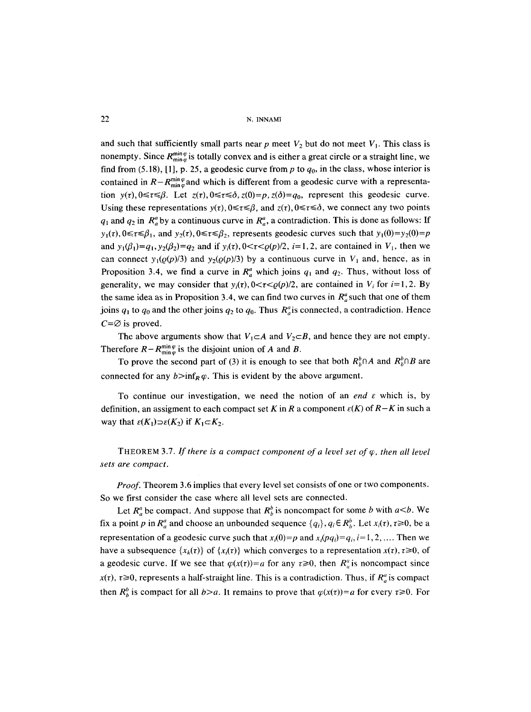and such that sufficiently small parts near p meet  $V_2$  but do not meet  $V_1$ . This class is nonempty. Since  $R_{\min\varphi}^{\min\varphi}$  is totally convex and is either a great circle or a straight line, we find from (5.18), [1], p. 25, a geodesic curve from p to  $q_0$ , in the class, whose interior is contained in  $R-R_{\min\varphi}^{\min\varphi}$  and which is different from a geodesic curve with a representation  $y(\tau)$ ,  $0 \leq \tau \leq \beta$ . Let  $z(\tau)$ ,  $0 \leq \tau \leq \delta$ ,  $z(0) = p$ ,  $z(\delta) = q_0$ , represent this geodesic curve. Using these representations  $y(\tau)$ ,  $0 \le \tau \le \beta$ , and  $z(\tau)$ ,  $0 \le \tau \le \delta$ , we connect any two points  $q_1$  and  $q_2$  in  $R_a^a$  by a continuous curve in  $R_a^a$ , a contradiction. This is done as follows: If  $y_1(\tau)$ ,  $0 \le \tau \le \beta_1$ , and  $y_2(\tau)$ ,  $0 \le \tau \le \beta_2$ , represents geodesic curves such that  $y_1(0)=y_2(0)=p$ and  $y_1(\beta_1)=q_1, y_2(\beta_2)=q_2$  and if  $y_i(\tau), 0 \leq \tau \leq \rho(p)/2$ ,  $i=1,2$ , are contained in  $V_1$ , then we can connect  $y_1(\varrho(p)/3)$  and  $y_2(\varrho(p)/3)$  by a continuous curve in  $V_1$  and, hence, as in Proposition 3.4, we find a curve in  $R_a^a$  which joins  $q_1$  and  $q_2$ . Thus, without loss of generality, we may consider that  $y_i(t)$ ,  $0 < \tau < \rho(p)/2$ , are contained in  $V_i$  for  $i=1,2$ . By the same idea as in Proposition 3.4, we can find two curves in  $R_a^a$  such that one of them joins  $q_1$  to  $q_0$  and the other joins  $q_2$  to  $q_0$ . Thus  $R_a^a$  is connected, a contradiction. Hence  $C = \emptyset$  is proved.

The above arguments show that  $V_1 \subset A$  and  $V_2 \subset B$ , and hence they are not empty. Therefore  $R-R_{\min\varphi}^{\min\varphi}$  is the disjoint union of A and B.

To prove the second part of (3) it is enough to see that both  $R_h^b \cap A$  and  $R_h^b \cap B$  are connected for any  $b>inf_R \varphi$ . This is evident by the above argument.

To continue our investigation, we need the notion of an *end e* which is, by definition, an assigment to each compact set K in R a component  $\varepsilon(K)$  of  $R-K$  in such a way that  $\varepsilon(K_1) \supset \varepsilon(K_2)$  if  $K_1 \subset K_2$ .

THEOREM 3.7. If there is a compact component of a level set of  $\varphi$ , then all level *sets are compact.* 

*Proof.* Theorem 3.6 implies that every level set consists of one or two components. So we first consider the case where all level sets are connected.

Let  $R_a^a$  be compact. And suppose that  $R_b^b$  is noncompact for some b with  $a \le b$ . We fix a point p in  $R_a^a$  and choose an unbounded sequence  $\{q_i\}$ ,  $q_i \in R_b^b$ . Let  $x_i(\tau)$ ,  $\tau \ge 0$ , be a representation of a geodesic curve such that  $x_i(0)=p$  and  $x_i(pq_i)=q_i$ ,  $i=1,2,...$  Then we have a subsequence  $\{x_k(\tau)\}\$  of  $\{x_i(\tau)\}\$  which converges to a representation  $x(\tau), \tau \ge 0$ , of a geodesic curve. If we see that  $\varphi(x(\tau))=a$  for any  $\tau \ge 0$ , then  $R_a^a$  is noncompact since  $x(\tau)$ ,  $\tau \ge 0$ , represents a half-straight line. This is a contradiction. Thus, if  $R^a_{\mu}$  is compact then  $R_h^b$  is compact for all  $b>a$ . It remains to prove that  $\varphi(x(\tau))=a$  for every  $\tau \ge 0$ . For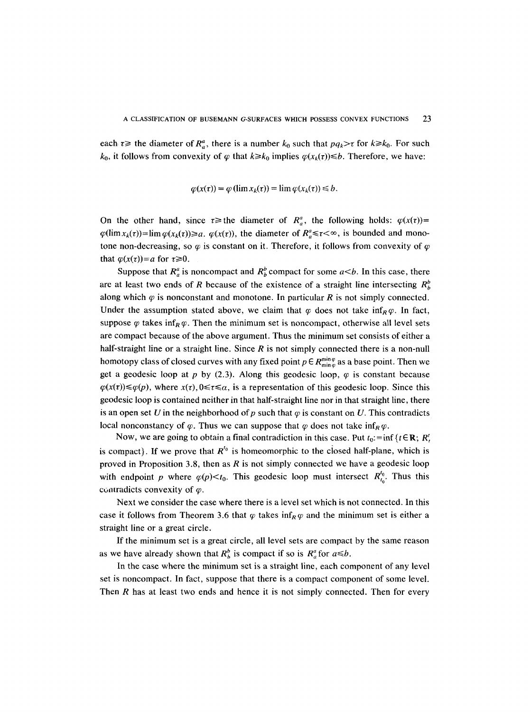each  $\tau \geq$  the diameter of  $R_a^a$ , there is a number  $k_0$  such that  $pq_k > \tau$  for  $k \geq k_0$ . For such  $k_0$ , it follows from convexity of  $\varphi$  that  $k \geq k_0$  implies  $\varphi(x_k(\tau)) \leq b$ . Therefore, we have:

$$
\varphi(x(\tau)) = \varphi(\lim x_k(\tau)) = \lim \varphi(x_k(\tau)) \leq b.
$$

On the other hand, since  $\tau \geq$  the diameter of  $R_a^a$ , the following holds:  $\varphi(x(\tau))=$  $\varphi(\lim x_k(\tau)) = \lim \varphi(x_k(\tau)) \ge a$ .  $\varphi(x(\tau))$ , the diameter of  $R_a^a \le \tau < \infty$ , is bounded and monotone non-decreasing, so  $\varphi$  is constant on it. Therefore, it follows from convexity of  $\varphi$ that  $\varphi(x(\tau))=a$  for  $\tau \ge 0$ .

Suppose that  $R_a^a$  is noncompact and  $R_b^b$  compact for some  $a \le b$ . In this case, there are at least two ends of R because of the existence of a straight line intersecting  $R_h^b$ along which  $\varphi$  is nonconstant and monotone. In particular R is not simply connected. Under the assumption stated above, we claim that  $\varphi$  does not take inf<sub>R</sub> $\varphi$ . In fact, suppose  $\varphi$  takes inf<sub>R</sub> $\varphi$ . Then the minimum set is noncompact, otherwise all level sets are compact because of the above argument. Thus the minimum set consists of either a half-straight line or a straight line. Since  $R$  is not simply connected there is a non-null homotopy class of closed curves with any fixed point  $p \in R_{\min\varphi}^{\min\varphi}$  as a base point. Then we get a geodesic loop at p by (2.3). Along this geodesic loop,  $\varphi$  is constant because  $\varphi(x(\tau)) \leq \varphi(p)$ , where  $x(\tau), 0 \leq \tau \leq \alpha$ , is a representation of this geodesic loop. Since this geodesic loop is contained neither in that half-straight line nor in that straight line, there is an open set U in the neighborhood of p such that  $\varphi$  is constant on U. This contradicts local nonconstancy of  $\varphi$ . Thus we can suppose that  $\varphi$  does not take  $\inf_R \varphi$ .

Now, we are going to obtain a final contradiction in this case. Put  $t_0$ : = inf { $t \in \mathbb{R}$ ;  $R_t^t$ , is compact). If we prove that  $R^{t_0}$  is homeomorphic to the closed half-plane, which is proved in Proposition 3.8, then as  $R$  is not simply connected we have a geodesic loop with endpoint p where  $\varphi(p) \leq t_0$ . This geodesic loop must intersect  $R_{t_0}^{t_0}$ . Thus this contradicts convexity of  $\varphi$ .

Next we consider the case where there is a level set which is not connected. In this case it follows from Theorem 3.6 that  $\varphi$  takes inf $_R \varphi$  and the minimum set is either a straight line or a great circle.

If the minimum set is a great circle, all level sets are compact by the same reason as we have already shown that  $R_h^b$  is compact if so is  $R_a^a$  for  $a \leq b$ .

In the case where the minimum set is a straight line, each component of any level set is noncompact. In fact, suppose that there is a compact component of some level. Then  *has at least two ends and hence it is not simply connected. Then for every*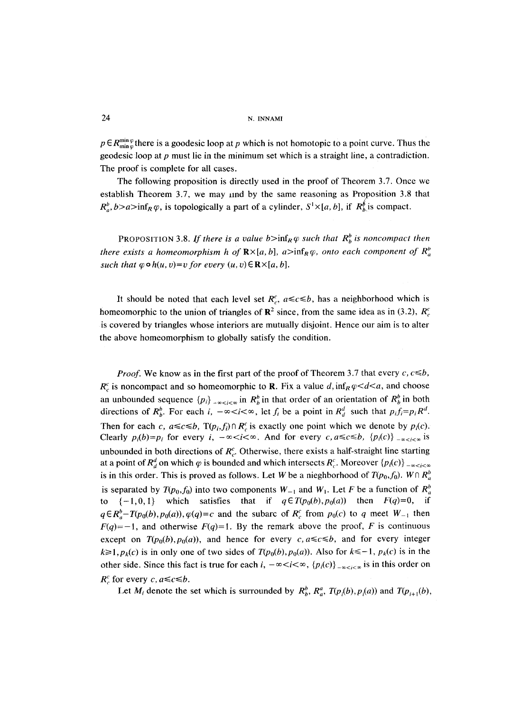$p \in R_{\min\varphi}^{\min\varphi}$  there is a goodesic loop at p which is not homotopic to a point curve. Thus the geodesic loop at  $p$  must lie in the minimum set which is a straight line, a contradiction. The proof is complete for all cases.

The following proposition is directly used in the proof of Theorem 3.7. Once we establish Theorem 3.7, we may lind by the same reasoning as Proposition 3.8 that  $R_a^b$ ,  $b>a>inf_R\varphi$ , is topologically a part of a cylinder,  $S^1\times [a, b]$ , if  $R_b^{\beta}$  is compact.

PROPOSITION 3.8. If there is a value  $b>inf_R \varphi$  such that  $R_b^b$  is noncompact then *there exists a homeomorphism h of*  $\mathbb{R} \times [a, b]$ ,  $a > inf_R \varphi$ , *onto each component of*  $R_a^b$ *such that*  $\varphi \circ h(u, v) = v$  *for every*  $(u, v) \in \mathbb{R} \times [a, b]$ .

It should be noted that each level set  $R_c^c$ ,  $a \leq c \leq b$ , has a neighborhood which is homeomorphic to the union of triangles of  $\mathbb{R}^2$  since, from the same idea as in (3.2),  $R_c^c$ is covered by triangles whose interiors are mutually disjoint. Hence our aim is to alter the above homeomorphism to globally satisfy the condition.

*Proof.* We know as in the first part of the proof of Theorem 3.7 that every  $c, c \leq b$ ,  $R_c^c$  is noncompact and so homeomorphic to **R**. Fix a value d,  $\inf_R \varphi < d < a$ , and choose an unbounded sequence  $\{p_i\}$ <sub>- $\infty$ </sub> in  $R_h^b$  in that order of an orientation of  $R_h^b$  in both directions of  $R_b^b$ . For each i,  $-\infty < i < \infty$ , let  $f_i$  be a point in  $R_d^d$  such that  $p_i f_i = p_i R^d$ . Then for each *c*,  $a \leq c \leq b$ ,  $T(p_i, f_i) \cap R_c^c$  is exactly one point which we denote by  $p_i(c)$ . Clearly  $p_i(b)=p_i$  for every  $i, -\infty < i < \infty$ . And for every  $c, a \leq c \leq b$ ,  $\{p_i(c)\}_{-\infty < i < \infty}$  is unbounded in both directions of  $R_c^c$ . Otherwise, there exists a half-straight line starting at a point of  $R_d^d$  on which  $\varphi$  is bounded and which intersects  $R_c^c$ . Moreover  $\{p_i(c)\}_{-\infty < i < \infty}$ is in this order. This is proved as follows. Let W be a nieghborhood of  $T(p_0, f_0)$ . W $\cap R^b$ is separated by  $T(p_0, f_0)$  into two components  $W_{-1}$  and  $W_1$ . Let F be a function of  $R_a^b$ to  $\{-1,0,1\}$  which satisfies that if  $q \in T(p_0(b), p_0(a))$  then  $F(q)=0$ , if  $q \in R_a^b$ -*T*( $p_0(b)$ ,  $p_0(a)$ ),  $q(q) = c$  and the subarc of  $R_c^c$  from  $p_0(c)$  to q meet  $W_{-1}$  then  $F(q)=-1$ , and otherwise  $F(q)=1$ . By the remark above the proof, F is continuous except on  $T(p_0(b), p_0(a))$ , and hence for every  $c, a \leq c \leq b$ , and for every integer  $k \ge 1$ ,  $p_k(c)$  is in only one of two sides of  $T(p_0(b), p_0(a))$ . Also for  $k \le -1$ ,  $p_k(c)$  is in the other side. Since this fact is true for each i,  $-\infty < i < \infty$ ,  ${p_i(c)}_{-\infty < i < \infty}$  is in this order on  $R_c^c$  for every *c*,  $a \leq c \leq b$ .

Let  $M_i$  denote the set which is surrounded by  $R_b^b$ ,  $R_a^a$ ,  $T(p_i(b), p_i(a))$  and  $T(p_{i+1}(b),$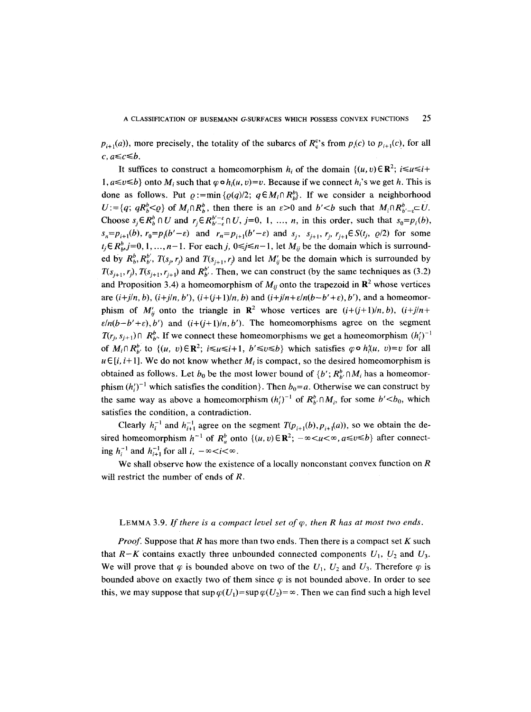$p_{i+1}(a)$ , more precisely, the totality of the subarcs of  $R_c^c$ 's from  $p_i(c)$  to  $p_{i+1}(c)$ , for all  $c, a \leq c \leq b$ .

It suffices to construct a homeomorphism  $h_i$  of the domain  $\{(u, v) \in \mathbb{R}^2; i \leq u \leq i+\}$  $1, a \le v \le b$  onto  $M_i$  such that  $\varphi \circ h_i(u, v) = v$ . Because if we connect  $h_i$ 's we get h. This is done as follows. Put  $\rho:=\min\{\rho(q)/2;\ q\in M_i\cap R_h^b\}$ . If we consider a neighborhood  $U:=\{q; qR_b^b \leq Q\}$  of  $M_i \cap R_b^b$ , then there is an  $\varepsilon > 0$  and  $b' < b$  such that  $M_i \cap R_{b'-c}^b \subset U$ . Choose  $s_i \in R_b^b \cap U$  and  $r_i \in R_{b'-\varepsilon}^{b'-\varepsilon} \cap U$ ,  $j=0, 1, ..., n$ , in this order, such that  $s_0 = p_i(b)$ ,  $s_n=p_{i+1}(b)$ ,  $r_0=p_i(b'-\varepsilon)$  and  $r_n=p_{i+1}(b'-\varepsilon)$  and  $s_i$ ,  $s_{i+1}$ ,  $r_i$ ,  $r_{i+1}\in S(t_i, \varrho/2)$  for some  $t_j \in R_b^b$ ,  $j=0, 1, ..., n-1$ . For each j,  $0 \le j \le n-1$ , let  $M_{ij}$  be the domain which is surrounded by  $R_b^b$ ,  $R_{b'}^{b'}$ ,  $T(s_j, r_j)$  and  $T(s_{j+1}, r_j)$  and let  $M_{ij}$  be the domain which is surrounded by  $T(s_{i+1}, r_i)$ ,  $T(s_{i+1}, r_{i+1})$  and  $R_b^{b'}$ . Then, we can construct (by the same techniques as (3.2) and Proposition 3.4) a homeomorphism of  $M_{ij}$  onto the trapezoid in  $\mathbb{R}^2$  whose vertices are  $(i+j/n, b)$ ,  $(i+j/n, b')$ ,  $(i+(j+1)/n, b)$  and  $(i+j/n+\varepsilon/n(b-b'+\varepsilon), b')$ , and a homeomorphism of  $M'_{ii}$  onto the triangle in  $\mathbb{R}^2$  whose vertices are  $(i+(j+1)/n, b)$ ,  $(i+j/n+1)$  $\varepsilon/n(b-b'+\varepsilon),b'$  and  $(i+(j+1)/n,b')$ . The homeomorphisms agree on the segment  $T(r_i, s_{i+1}) \cap R_{b}^b$ . If we connect these homeomorphisms we get a homeomorphism  $(h_i')^{-1}$ of  $M_i \cap R_{h'}^{b'}$  to  $\{(u, v) \in \mathbb{R}^2$ ;  $i \le u \le i+1, b' \le v \le b\}$  which satisfies  $\varphi \circ h_i(u, v) = v$  for all  $u \in [i, i+1]$ . We do not know whether  $M_i$  is compact, so the desired homeomorphism is obtained as follows. Let  $b_0$  be the most lower bound of  $\{b^{\prime}; R_{b^{\prime}}^b \cap M_i\}$  has a homeomorphism  $(h_i')^{-1}$  which satisfies the condition}. Then  $b_0=a$ . Otherwise we can construct by the same way as above a homeomorphism  $(h_i')^{-1}$  of  $R_p^b \cap M_i$ , for some  $b' < b_0$ , which satisfies the condition, a contradiction.

Clearly  $h_i^{-1}$  and  $h_{i+1}^{-1}$  agree on the segment  $T(p_{i+1}(b), p_{i+1}(a))$ , so we obtain the desired homeomorphism  $h^{-1}$  of  $R_a^b$  onto  $\{(u, v) \in \mathbb{R}^2$ ;  $-\infty < u < \infty$ ,  $a \le v \le b\}$  after connecting  $h_i^{-1}$  and  $h_{i+1}^{-1}$  for all  $i, -\infty < i < \infty$ .

We shall observe how the existence of a locally nonconstant convex function on  $R$ will restrict the number of ends of *.* 

#### LEMMA 3.9. If there is a compact level set of  $\varphi$ , then R has at most two ends.

*Proof.* Suppose that R has more than two ends. Then there is a compact set K such that  $R-K$  contains exactly three unbounded connected components  $U_1, U_2$  and  $U_3$ . We will prove that  $\varphi$  is bounded above on two of the  $U_1$ ,  $U_2$  and  $U_3$ . Therefore  $\varphi$  is bounded above on exactly two of them since  $\varphi$  is not bounded above. In order to see this, we may suppose that  $\sup \varphi(U_1) = \sup \varphi(U_2) = \infty$ . Then we can find such a high level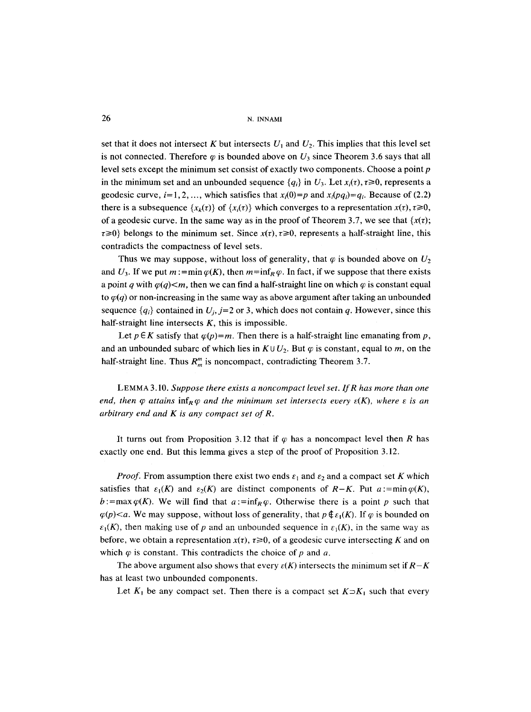set that it does not intersect K but intersects  $U_1$  and  $U_2$ . This implies that this level set is not connected. Therefore  $\varphi$  is bounded above on  $U_3$  since Theorem 3.6 says that all level sets except the minimum set consist of exactly two components. Choose a point p in the minimum set and an unbounded sequence  ${q_i}$  in  $U_3$ . Let  $x_i(\tau)$ ,  $\tau \ge 0$ , represents a geodesic curve,  $i=1,2,...$ , which satisfies that  $x_i(0)=p$  and  $x_i(pq_i)=q_i$ . Because of (2.2) there is a subsequence  $\{x_k(\tau)\}\$  of  $\{x_i(\tau)\}\$  which converges to a representation  $x(\tau), \tau \ge 0$ , of a geodesic curve. In the same way as in the proof of Theorem 3.7, we see that  $\{x(\tau)\}$  $\tau \geq 0$ } belongs to the minimum set. Since  $x(\tau)$ ,  $\tau \geq 0$ , represents a half-straight line, this contradicts the compactness of level sets.

Thus we may suppose, without loss of generality, that  $\varphi$  is bounded above on  $U_2$ and  $U_3$ . If we put  $m := \min \varphi(K)$ , then  $m = \inf_R \varphi$ . In fact, if we suppose that there exists a point q with  $\varphi(q) \leq m$ , then we can find a half-straight line on which  $\varphi$  is constant equal to  $\varphi(q)$  or non-increasing in the same way as above argument after taking an unbounded sequence  $\{q_i\}$  contained in  $U_i$ ,  $j=2$  or 3, which does not contain q. However, since this half-straight line intersects  $K$ , this is impossible.

Let  $p \in K$  satisfy that  $\varphi(p)=m$ . Then there is a half-straight line emanating from p, and an unbounded subarc of which lies in  $K \cup U_2$ . But  $\varphi$  is constant, equal to m, on the half-straight line. Thus  $R_m^m$  is noncompact, contradicting Theorem 3.7.

LEMMA 3.10. *Suppose there exists a noncompact level set. If R has more than one end, then*  $\varphi$  *attains*  $\inf_{\mathcal{R}} \varphi$  *and the minimum set intersects every*  $\varepsilon(K)$ *, where*  $\varepsilon$  *is an arbitrary end and K is any compact set of R.* 

It turns out from Proposition 3.12 that if  $\varphi$  has a noncompact level then R has exactly one end. But this lemma gives a step of the proof of Proposition 3.12.

*Proof.* From assumption there exist two ends  $\varepsilon_1$  and  $\varepsilon_2$  and a compact set K which satisfies that  $\varepsilon_1(K)$  and  $\varepsilon_2(K)$  are distinct components of *R-K*. Put  $a:=\min \varphi(K)$ , b: = max  $\varphi(K)$ . We will find that  $a:=\inf_{R}\varphi$ . Otherwise there is a point p such that  $\varphi(p)$ <a. We may suppose, without loss of generality, that  $p \notin \varepsilon_1(K)$ . If  $\varphi$  is bounded on  $\varepsilon_1(K)$ , then making use of p and an unbounded sequence in  $\varepsilon_1(K)$ , in the same way as before, we obtain a representation  $x(t)$ ,  $t \ge 0$ , of a geodesic curve intersecting K and on which  $\varphi$  is constant. This contradicts the choice of p and a.

The above argument also shows that every  $\varepsilon(K)$  intersects the minimum set *if*  $R-K$ has at least two unbounded components.

Let  $K_1$  be any compact set. Then there is a compact set  $K \supset K_1$  such that every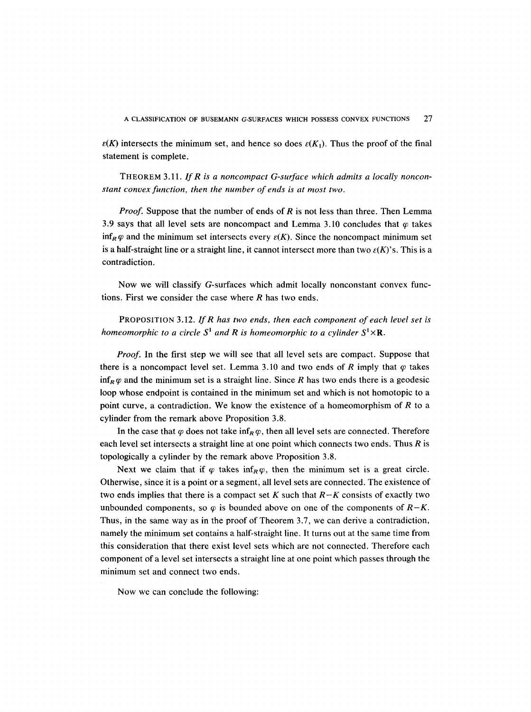$\varepsilon(K)$  intersects the minimum set, and hence so does  $\varepsilon(K_1)$ . Thus the proof of the final statement is complete.

THEOREM 3.11. *If R is a noncompact G-surface which admits a locally nonconstant convex function, then the number of ends is at most two.* 

*Proof.* Suppose that the number of ends of R is not less than three. Then Lemma 3.9 says that all level sets are noncompact and Lemma 3.10 concludes that  $\varphi$  takes inf<sub>R</sub> $\varphi$  and the minimum set intersects every  $\varepsilon(K)$ . Since the noncompact minimum set is a half-straight line or a straight line, it cannot intersect more than two  $\varepsilon(K)$ 's. This is a contradiction.

Now we will classify G-surfaces which admit locally nonconstant convex functions. First we consider the case where  $R$  has two ends.

PROPOSITION 3.12. *If R has two ends, then each component of each level set is homeomorphic to a circle*  $S^1$  *and*  $R$  *is homeomorphic to a cylinder*  $S^1 \times R$ *.* 

*Proof.* In the first step we will see that all level sets are compact. Suppose that there is a noncompact level set. Lemma 3.10 and two ends of R imply that  $\varphi$  takes  $\inf_R \varphi$  and the minimum set is a straight line. Since R has two ends there is a geodesic loop whose endpoint is contained in the minimum set and which is not homotopic to a point curve, a contradiction. We know the existence of a homeomorphism of  $R$  to a cylinder from the remark above Proposition 3.8.

In the case that  $\varphi$  does not take inf<sub>R</sub> $\varphi$ , then all level sets are connected. Therefore each level set intersects a straight line at one point which connects two ends. Thus  $R$  is topologically a cylinder by the remark above Proposition 3.8.

Next we claim that if  $\varphi$  takes inf $_R \varphi$ , then the minimum set is a great circle. Otherwise, since it is a point or a segment, all level sets are connected. The existence of two ends implies that there is a compact set K such that *R-K* consists of exactly two unbounded components, so  $\varphi$  is bounded above on one of the components of  $R-K$ . Thus, in the same way as in the proof of Theorem 3.7, we can derive a contradiction, namely the minimum set contains a half-straight line. It turns out at the same time from this consideration that there exist level sets which are not connected. Therefore each component of a level set intersects a straight line at one point which passes through the minimum set and connect two ends.

Now we can conclude the following: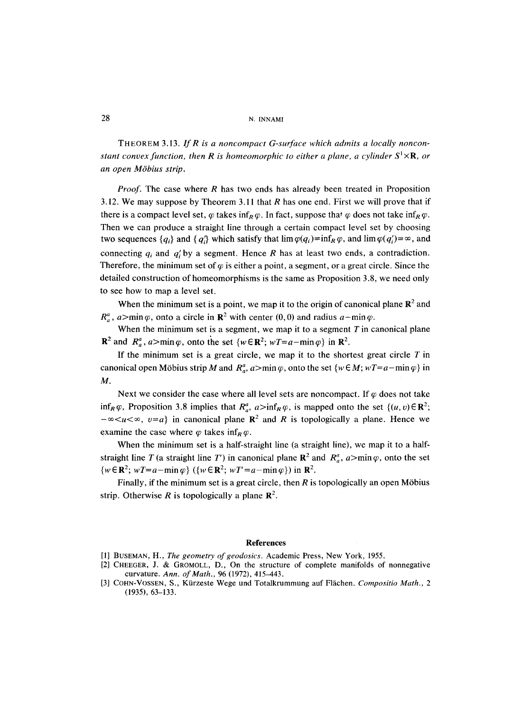THEOREM 3.13. *lf R is a noncompact G-surface which admits a locally nonconstant convex function, then R is homeomorphic to either a plane, a cylinder*  $S^1 \times \mathbb{R}$ *, or an open MObius strip.* 

*Proof.* The case where R has two ends has already been treated in Proposition 3.12. We may suppose by Theorem 3.11 that  $R$  has one end. First we will prove that if there is a compact level set,  $\varphi$  takes inf<sub>R</sub> $\varphi$ . In fact, suppose that  $\varphi$  does not take inf<sub>R</sub> $\varphi$ . Then we can produce a straight line through a certain compact level set by choosing two sequences  $\{q_i\}$  and  $\{q_i\}$  which satisfy that  $\lim \varphi(q_i)=\inf_R \varphi$ , and  $\lim \varphi(q_i')=\infty$ , and connecting  $q_i$  and  $q'_i$  by a segment. Hence R has at least two ends, a contradiction. Therefore, the minimum set of  $\varphi$  is either a point, a segment, or a great circle. Since the detailed construction of homeomorphisms is the same as Proposition 3.8, we need only to see how to map a level set.

When the minimum set is a point, we map it to the origin of canonical plane  $\mathbb{R}^2$  and  $R_a^a$ ,  $a > min \varphi$ , onto a circle in  $\mathbb{R}^2$  with center (0,0) and radius  $a - min \varphi$ .

When the minimum set is a segment, we map it to a segment  $T$  in canonical plane  $\mathbb{R}^2$  and  $R_a^a$ ,  $a > min \varphi$ , onto the set  $\{w \in \mathbb{R}^2 : wT = a - min \varphi\}$  in  $\mathbb{R}^2$ .

If the minimum set is a great circle, we map it to the shortest great circle  $T$  in canonical open Möbius strip M and  $R_a^a$ ,  $a > min \varphi$ , onto the set  $\{w \in M; wT = a-min \varphi\}$  in M.

Next we consider the case where all level sets are noncompact. If  $\varphi$  does not take inf<sub>R</sub> $\varphi$ , Proposition 3.8 implies that  $R^a_{\varphi}$ ,  $a>inf_R\varphi$ , is mapped onto the set  $\{(u, v) \in \mathbb{R}^2\}$ ;  $-\infty < u < \infty$ ,  $v=a$  in canonical plane  $\mathbb{R}^2$  and R is topologically a plane. Hence we examine the case where  $\varphi$  takes inf<sub>R</sub> $\varphi$ .

When the minimum set is a half-straight line (a straight line), we map it to a halfstraight line T (a straight line T') in canonical plane  $\mathbb{R}^2$  and  $R_a^a$ ,  $a > min \varphi$ , onto the set  $\{w \in \mathbb{R}^2; wT = a - \min \varphi\}$   $(\{w \in \mathbb{R}^2; wT' = a - \min \varphi\})$  in  $\mathbb{R}^2$ .

Finally, if the minimum set is a great circle, then  $R$  is topologically an open Möbius strip. Otherwise R is topologically a plane  $\mathbb{R}^2$ .

#### **References**

- [1] BUSEMAN, H., *The geometry of geodosics*. Academic Press, New York, 1955.
- [2] CHEEGER, J. & GROMOLL, D., On the structure of complete manifolds of nonnegative curvature. *Ann. of Math.,* 96 (1972), 415-443.
- [3] COHN-VOSSEN, S., Kfirzeste Wege und Totalkrummung auf Flfichen. *Compositio Math., 2*  (1935), 63-133.